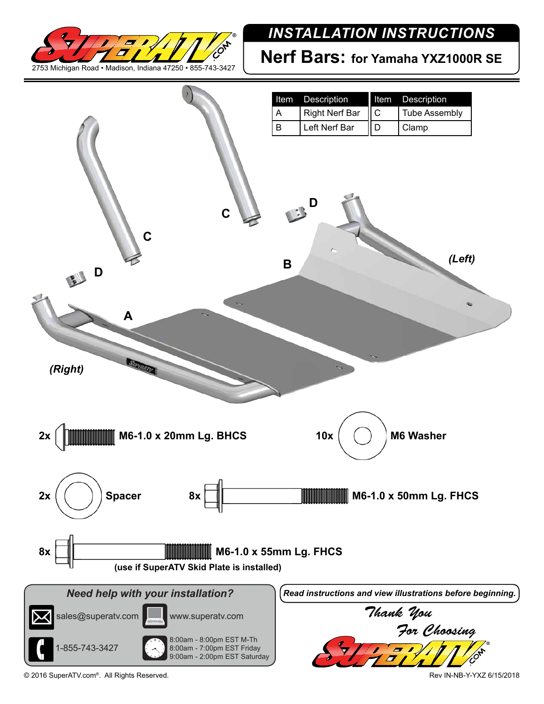

## *INSTALLATION INSTRUCTIONS*

**Nerf Bars: for Yamaha YXZ1000R SE**



© 2016 SuperATV.com®. All Rights Reserved. Rev IN-NB-Y-YXZ 6/15/2018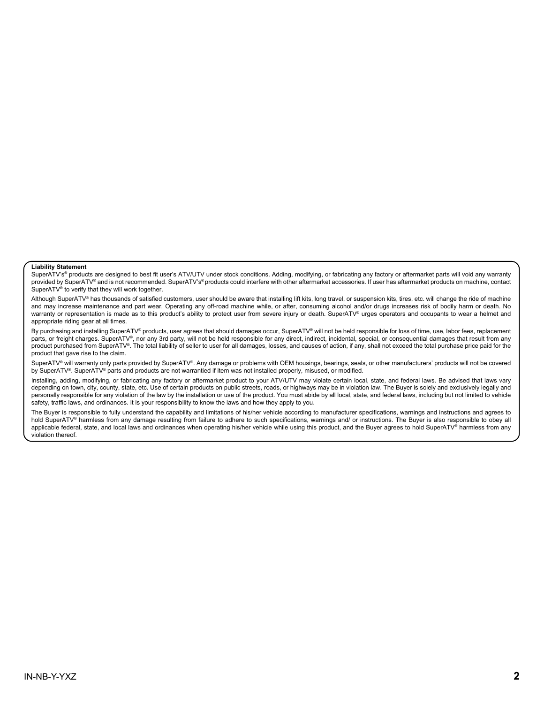## **Liability Statement**

SuperATV's® products are designed to best fit user's ATV/UTV under stock conditions. Adding, modifying, or fabricating any factory or aftermarket parts will void any warranty provided by SuperATV® and is not recommended. SuperATV's® products could interfere with other aftermarket accessories. If user has aftermarket products on machine, contact SuperATV<sup>®</sup> to verify that they will work together.

Although SuperATV® has thousands of satisfied customers, user should be aware that installing lift kits, long travel, or suspension kits, tires, etc. will change the ride of machine and may increase maintenance and part wear. Operating any off-road machine while, or after, consuming alcohol and/or drugs increases risk of bodily harm or death. No warranty or representation is made as to this product's ability to protect user from severe injury or death. SuperATV® urges operators and occupants to wear a helmet and appropriate riding gear at all times.

By purchasing and installing SuperATV® products, user agrees that should damages occur, SuperATV® will not be held responsible for loss of time, use, labor fees, replacement parts, or freight charges. SuperATV®, nor any 3rd party, will not be held responsible for any direct, indirect, incidental, special, or consequential damages that result from any product purchased from SuperATV®. The total liability of seller to user for all damages, losses, and causes of action, if any, shall not exceed the total purchase price paid for the product that gave rise to the claim.

SuperATV® will warranty only parts provided by SuperATV®. Any damage or problems with OEM housings, bearings, seals, or other manufacturers' products will not be covered by SuperATV®. SuperATV® parts and products are not warrantied if item was not installed properly, misused, or modified.

Installing, adding, modifying, or fabricating any factory or aftermarket product to your ATV/UTV may violate certain local, state, and federal laws. Be advised that laws vary depending on town, city, county, state, etc. Use of certain products on public streets, roads, or highways may be in violation law. The Buyer is solely and exclusively legally and personally responsible for any violation of the law by the installation or use of the product. You must abide by all local, state, and federal laws, including but not limited to vehicle safety, traffic laws, and ordinances. It is your responsibility to know the laws and how they apply to you.

The Buyer is responsible to fully understand the capability and limitations of his/her vehicle according to manufacturer specifications, warnings and instructions and agrees to hold SuperATV® harmless from any damage resulting from failure to adhere to such specifications, warnings and/ or instructions. The Buyer is also responsible to obey all applicable federal, state, and local laws and ordinances when operating his/her vehicle while using this product, and the Buyer agrees to hold SuperATV® harmless from any violation thereof.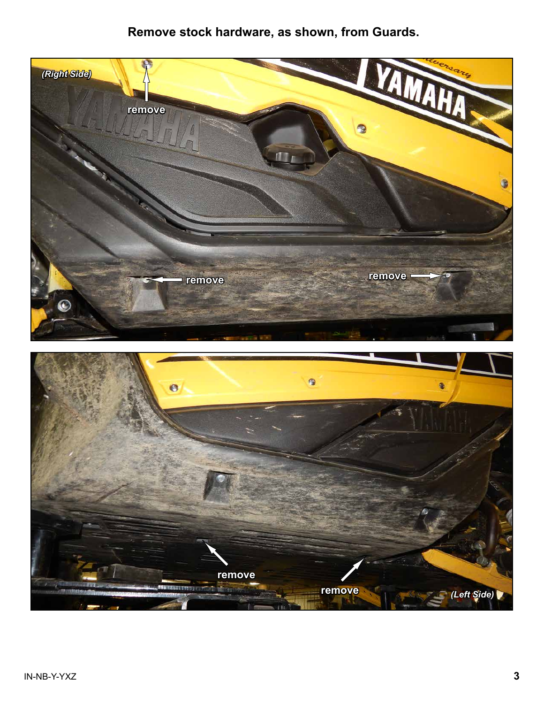## **Remove stock hardware, as shown, from Guards.**

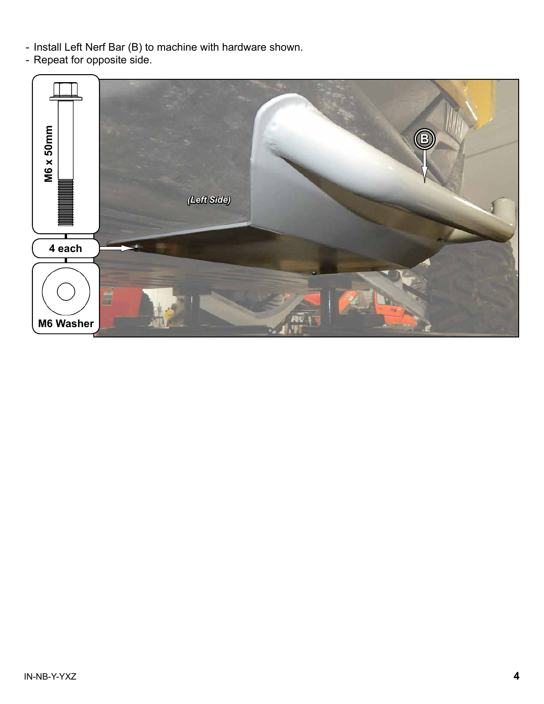- Install Left Nerf Bar (B) to machine with hardware shown.
- Repeat for opposite side.

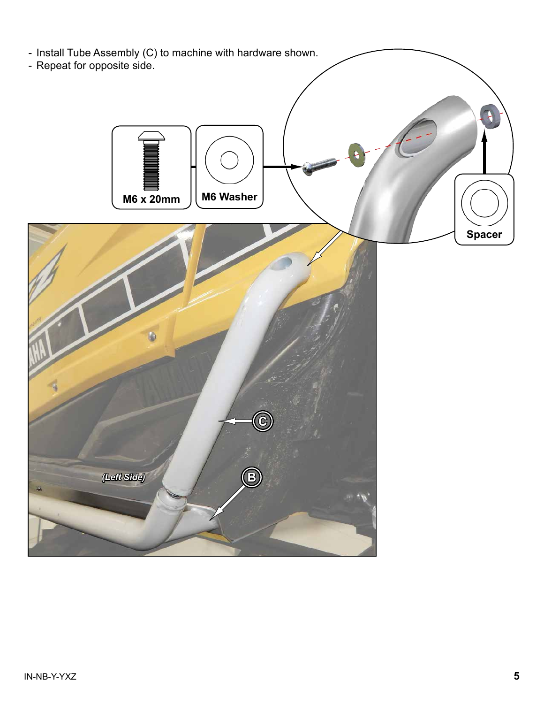

- Repeat for opposite side.